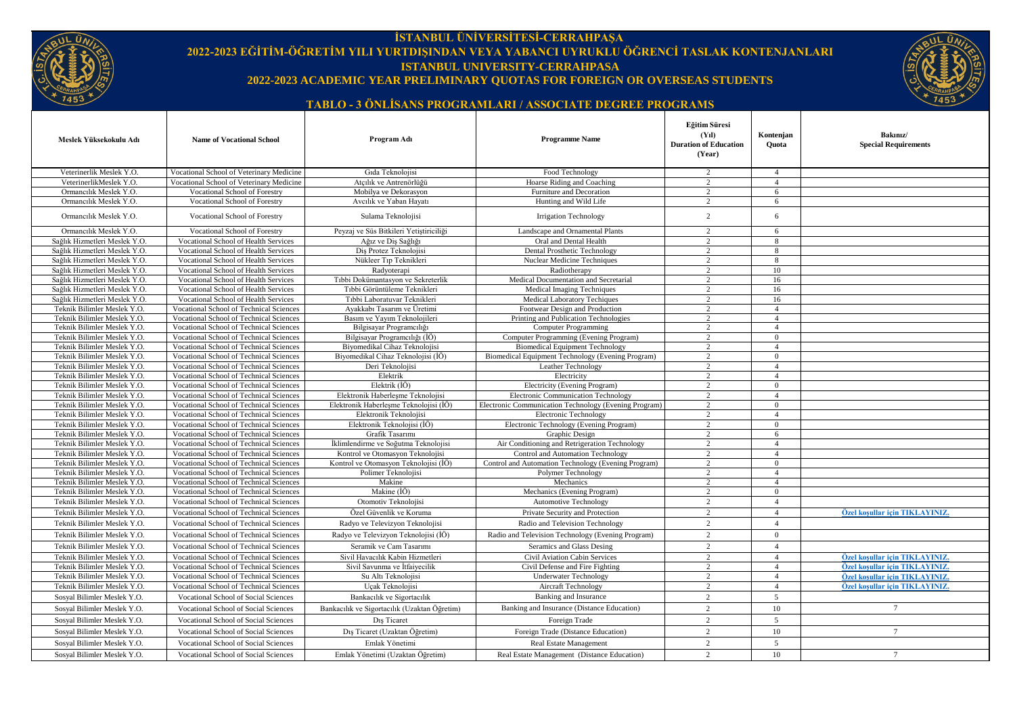

## **İSTANBUL ÜNİVERSİTESİ-CERRAHPAŞA 2022-2023 EĞİTİM-ÖĞRETİM YILI YURTDIŞINDAN VEYA YABANCI UYRUKLU ÖĞRENCİ TASLAK KONTENJANLARI ISTANBUL UNIVERSITY-CERRAHPASA 2022-2023 ACADEMIC YEAR PRELIMINARY QUOTAS FOR FOREIGN OR OVERSEAS STUDENTS**



## **TABLO - 3 ÖNLİSANS PROGRAMLARI / ASSOCIATE DEGREE PROGRAMS**

| Veterinerlik Meslek Y.O.<br>Vocational School of Veterinary Medicine<br>Gida Teknolojisi<br>Food Technology<br>2<br>$\overline{4}$<br>VeterinerlikMeslek Y.O.<br>Vocational School of Veterinary Medicine<br>Atcılık ve Antrenörlüğü<br>Hoarse Riding and Coaching<br>$\overline{2}$<br>$\overline{4}$<br>Ormancılık Meslek Y.O.<br>Vocational School of Forestry<br>Mobilva ve Dekorasvon<br>Furniture and Decoration<br>2<br>6<br>Ormancılık Meslek Y.O.<br>Vocational School of Forestry<br>Hunting and Wild Life<br>Avcılık ve Yaban Hayatı<br>$\overline{2}$<br>6<br>Ormancılık Meslek Y.O.<br>$\overline{2}$<br>6<br>Vocational School of Forestry<br>Sulama Teknolojisi<br><b>Irrigation Technology</b><br>Ormancılık Meslek Y.O.<br>Vocational School of Forestry<br>Peyzaj ve Süs Bitkileri Yetistiriciliği<br>$\overline{2}$<br>Landscape and Ornamental Plants<br>6<br>Sağlık Hizmetleri Meslek Y.O.<br>Oral and Dental Health<br>$\overline{2}$<br>Vocational School of Health Services<br>Ağız ve Dis Sağlığı<br>$\mathbf{8}$<br>Sağlık Hizmetleri Meslek Y.O.<br>Dis Protez Teknolojisi<br>Dental Prosthetic Technology<br>2<br>8<br>Vocational School of Health Services<br>Sağlık Hizmetleri Meslek Y.O.<br>Nükleer Tıp Teknikleri<br>Vocational School of Health Services<br>Nuclear Medicine Techniques<br>$\overline{2}$<br>8<br>Sağlık Hizmetleri Meslek Y.O.<br>$\mathfrak{D}$<br>10<br>Vocational School of Health Services<br>Radyoterapi<br>Radiotherapy<br>Sağlık Hizmetleri Meslek Y.O.<br>$\overline{2}$<br>Vocational School of Health Services<br>Tıbbi Dokümantasyon ve Sekreterlik<br>Medical Documentation and Secretarial<br>16<br>Sağlık Hizmetleri Meslek Y.O.<br>Tıbbi Görüntüleme Teknikleri<br>Vocational School of Health Services<br>Medical Imaging Techniques<br>$\overline{2}$<br>16<br>Sağlık Hizmetleri Meslek Y.O.<br>Tıbbi Laboratuvar Teknikleri<br>Medical Laboratory Techiques<br>$\overline{2}$<br>16<br>Vocational School of Health Services<br>Teknik Bilimler Meslek Y.O.<br>Ayakkabı Tasarım ve Üretimi<br>$\overline{2}$<br>Vocational School of Technical Sciences<br>Footwear Design and Production<br>$\overline{4}$<br>Teknik Bilimler Meslek Y.O.<br>Basım ve Yayım Teknolojileri<br>Printing and Publication Technologies<br>Vocational School of Technical Sciences<br>$\overline{2}$<br>$\overline{4}$<br>Teknik Bilimler Meslek Y.O.<br>$\overline{2}$<br>Vocational School of Technical Sciences<br>Bilgisayar Programcılığı<br><b>Computer Programming</b><br>$\overline{4}$<br>Teknik Bilimler Meslek Y.O.<br>2<br>$\Omega$<br>Vocational School of Technical Sciences<br>Bilgisayar Programcılığı (İÖ)<br>Computer Programming (Evening Program)<br>Teknik Bilimler Meslek Y.O.<br>Vocational School of Technical Sciences<br>Biyomedikal Cihaz Teknolojisi<br><b>Biomedical Equipment Technology</b><br>2<br>$\overline{4}$<br>$\overline{2}$<br>Teknik Bilimler Meslek Y.O.<br>Vocational School of Technical Sciences<br>Bivomedikal Cihaz Teknolojisi (IÖ)<br>Biomedical Equipment Technology (Evening Program)<br>$\overline{0}$<br>Teknik Bilimler Meslek Y.O.<br>Vocational School of Technical Sciences<br>Deri Teknolojisi<br>Leather Technology<br>2<br>$\overline{4}$<br>Teknik Bilimler Meslek Y.O.<br>$\overline{2}$<br>Vocational School of Technical Sciences<br>Elektrik<br>$\overline{4}$<br>Electricity<br>Teknik Bilimler Meslek Y.O.<br>Elektrik (İÖ)<br>$\overline{2}$<br>$\theta$<br>Vocational School of Technical Sciences<br>Electricity (Evening Program)<br>Teknik Bilimler Meslek Y.O.<br>Elektronik Haberlesme Teknolojisi<br>$\overline{2}$<br>$\overline{4}$<br>Vocational School of Technical Sciences<br><b>Electronic Communication Technology</b><br>Elektronik Haberlesme Teknolojisi (İÖ)<br>Teknik Bilimler Meslek Y.O.<br>Vocational School of Technical Sciences<br>Electronic Communication Technology (Evening Program)<br>$\overline{2}$<br>$\overline{0}$<br>Teknik Bilimler Meslek Y.O.<br>$\overline{2}$<br>Vocational School of Technical Sciences<br>Elektronik Teknolojisi<br>Electronic Technology<br>$\overline{4}$<br>Elektronik Teknolojisi (İÖ)<br>$\overline{2}$<br>Teknik Bilimler Meslek Y.O.<br>Vocational School of Technical Sciences<br>Electronic Technology (Evening Program)<br>$\overline{0}$<br>Teknik Bilimler Meslek Y.O.<br>Vocational School of Technical Sciences<br>Grafik Tasarımı<br>Graphic Design<br>2<br>6<br>Teknik Bilimler Meslek Y.O.<br>Vocational School of Technical Sciences<br>İklimlendirme ve Soğutma Teknolojisi<br>Air Conditioning and Retrigeration Technology<br>2<br>$\overline{4}$<br>$\overline{2}$<br>Teknik Bilimler Meslek Y.O.<br>Vocational School of Technical Sciences<br>Kontrol ve Otomasyon Teknolojisi<br>Control and Automation Technology<br>$\overline{4}$<br>Teknik Bilimler Meslek Y.O.<br>Vocational School of Technical Sciences<br>Kontrol ve Otomasyon Teknolojisi (İÖ)<br>Control and Automation Technology (Evening Program)<br>2<br>$\overline{0}$<br>Teknik Bilimler Meslek Y.O.<br>Vocational School of Technical Sciences<br>Polimer Teknolojisi<br>2<br>$\overline{4}$<br>Polymer Technology<br>Teknik Bilimler Meslek Y.O.<br>Vocational School of Technical Sciences<br>Makine<br>Mechanics<br>2<br>$\overline{4}$<br>Teknik Bilimler Meslek Y.O.<br>Vocational School of Technical Sciences<br>Makine (İÖ)<br>Mechanics (Evening Program)<br>2<br>$\overline{0}$<br>$\overline{2}$<br>$\overline{4}$<br>Teknik Bilimler Meslek Y.O.<br>Vocational School of Technical Sciences<br>Otomotiv Teknolojisi<br><b>Automotive Technology</b><br>Teknik Bilimler Meslek Y.O.<br><b>Vocational School of Technical Sciences</b><br>Özel Güvenlik ve Koruma<br>Private Security and Protection<br>$\overline{2}$<br>Özel kosullar için TIKLAYINIZ.<br>$\overline{4}$<br>$\overline{2}$<br>Teknik Bilimler Meslek Y.O.<br>Vocational School of Technical Sciences<br>Radyo ve Televizyon Teknolojisi<br>Radio and Television Technology<br>$\overline{4}$<br>$\overline{2}$<br>Teknik Bilimler Meslek Y.O.<br>Vocational School of Technical Sciences<br>Radyo ve Televizyon Teknolojisi (İÖ)<br>Radio and Television Technology (Evening Program)<br>$\overline{0}$<br>$\overline{2}$<br>$\overline{4}$<br>Teknik Bilimler Meslek Y.O.<br>Vocational School of Technical Sciences<br>Seramik ve Cam Tasarımı<br>Seramics and Glass Desing<br>Özel kosullar için TIKLAYINIZ.<br>Teknik Bilimler Meslek Y.O.<br>Vocational School of Technical Sciences<br>Sivil Havacılık Kabin Hizmetleri<br>Civil Aviation Cabin Services<br>$\overline{2}$<br>$\overline{4}$<br>Özel koşullar için TIKLAYINIZ.<br>Teknik Bilimler Meslek Y.O.<br>Vocational School of Technical Sciences<br>Sivil Savunma ve İtfaiyecilik<br>Civil Defense and Fire Fighting<br>2<br>$\overline{4}$<br>$\overline{2}$<br>Özel koşullar için TIKLAYINIZ.<br>Teknik Bilimler Meslek Y.O.<br>Vocational School of Technical Sciences<br>Su Altı Teknolojisi<br><b>Underwater Technology</b><br>$\overline{4}$<br>Özel kosullar için TIKLAYINIZ<br>Teknik Bilimler Meslek Y.O.<br>Vocational School of Technical Sciences<br>Uçak Teknolojisi<br><b>Aircraft Technology</b><br>2<br>$\overline{4}$<br>$\overline{2}$<br>$\overline{5}$<br><b>Banking and Insurance</b><br>Sosval Bilimler Meslek Y.O.<br>Bankacılık ve Sigortacılık<br>Vocational School of Social Sciences<br>Banking and Insurance (Distance Education)<br>$\overline{2}$<br>$7\phantom{.0}$<br>Sosyal Bilimler Meslek Y.O.<br>Vocational School of Social Sciences<br>Bankacılık ve Sigortacılık (Uzaktan Öğretim)<br>10<br>$\overline{2}$<br>5<br>Sosyal Bilimler Meslek Y.O.<br>Vocational School of Social Sciences<br>D <sub>1</sub> s Ticaret<br>Foreign Trade<br>Foreign Trade (Distance Education)<br>$\overline{2}$<br>$\overline{7}$<br>Sosyal Bilimler Meslek Y.O.<br>Vocational School of Social Sciences<br>Dış Ticaret (Uzaktan Öğretim)<br>10<br>$\overline{2}$<br><b>Real Estate Management</b><br>5<br>Sosyal Bilimler Meslek Y.O.<br>Vocational School of Social Sciences<br>Emlak Yönetimi<br>$\overline{2}$<br>Real Estate Management (Distance Education)<br>10<br>$7\phantom{.0}$<br>Sosval Bilimler Meslek Y.O.<br>Vocational School of Social Sciences<br>Emlak Yönetimi (Uzaktan Öğretim) | Meslek Yüksekokulu Adı | <b>Name of Vocational School</b> | Program Adı | <b>Programme Name</b> | Eğitim Süresi<br>(Y <sub>1</sub> )<br><b>Duration of Education</b><br>(Year) | Kontenian<br><b>Ouota</b> | Bakınız/<br><b>Special Requirements</b> |
|----------------------------------------------------------------------------------------------------------------------------------------------------------------------------------------------------------------------------------------------------------------------------------------------------------------------------------------------------------------------------------------------------------------------------------------------------------------------------------------------------------------------------------------------------------------------------------------------------------------------------------------------------------------------------------------------------------------------------------------------------------------------------------------------------------------------------------------------------------------------------------------------------------------------------------------------------------------------------------------------------------------------------------------------------------------------------------------------------------------------------------------------------------------------------------------------------------------------------------------------------------------------------------------------------------------------------------------------------------------------------------------------------------------------------------------------------------------------------------------------------------------------------------------------------------------------------------------------------------------------------------------------------------------------------------------------------------------------------------------------------------------------------------------------------------------------------------------------------------------------------------------------------------------------------------------------------------------------------------------------------------------------------------------------------------------------------------------------------------------------------------------------------------------------------------------------------------------------------------------------------------------------------------------------------------------------------------------------------------------------------------------------------------------------------------------------------------------------------------------------------------------------------------------------------------------------------------------------------------------------------------------------------------------------------------------------------------------------------------------------------------------------------------------------------------------------------------------------------------------------------------------------------------------------------------------------------------------------------------------------------------------------------------------------------------------------------------------------------------------------------------------------------------------------------------------------------------------------------------------------------------------------------------------------------------------------------------------------------------------------------------------------------------------------------------------------------------------------------------------------------------------------------------------------------------------------------------------------------------------------------------------------------------------------------------------------------------------------------------------------------------------------------------------------------------------------------------------------------------------------------------------------------------------------------------------------------------------------------------------------------------------------------------------------------------------------------------------------------------------------------------------------------------------------------------------------------------------------------------------------------------------------------------------------------------------------------------------------------------------------------------------------------------------------------------------------------------------------------------------------------------------------------------------------------------------------------------------------------------------------------------------------------------------------------------------------------------------------------------------------------------------------------------------------------------------------------------------------------------------------------------------------------------------------------------------------------------------------------------------------------------------------------------------------------------------------------------------------------------------------------------------------------------------------------------------------------------------------------------------------------------------------------------------------------------------------------------------------------------------------------------------------------------------------------------------------------------------------------------------------------------------------------------------------------------------------------------------------------------------------------------------------------------------------------------------------------------------------------------------------------------------------------------------------------------------------------------------------------------------------------------------------------------------------------------------------------------------------------------------------------------------------------------------------------------------------------------------------------------------------------------------------------------------------------------------------------------------------------------------------------------------------------------------------------------------------------------------------------------------------------------------------------------------------------------------------------------------------------------------------------------------------------------------------------------------------------------------------------------------------------------------------------------------------------------------------------------------------------------------------------------------------------------------------------------------------------------------------------------------------------------------------------------------------------------------------------------------------------------------------------------------------------------------------------------------------------------------------------------------------------------------------------------------------------------------------------------------------------------------------------------------------------------------------------------------------------------------------------------------------------------------------------------------------------------------------------------------------------------------------------------------------------------------------------------------------------------------------------------------------------------------------------------------------------------------------------------------------------------------------------------------------------------------------------------------------------------------------------------------------------------------------------------------------------------------------------------------------------------------------------------------------------------------------------------------------------------------------------------------------------------------------------------------------------------------------------------------------------------------------------------------------------------------------------------------------------------------------|------------------------|----------------------------------|-------------|-----------------------|------------------------------------------------------------------------------|---------------------------|-----------------------------------------|
|                                                                                                                                                                                                                                                                                                                                                                                                                                                                                                                                                                                                                                                                                                                                                                                                                                                                                                                                                                                                                                                                                                                                                                                                                                                                                                                                                                                                                                                                                                                                                                                                                                                                                                                                                                                                                                                                                                                                                                                                                                                                                                                                                                                                                                                                                                                                                                                                                                                                                                                                                                                                                                                                                                                                                                                                                                                                                                                                                                                                                                                                                                                                                                                                                                                                                                                                                                                                                                                                                                                                                                                                                                                                                                                                                                                                                                                                                                                                                                                                                                                                                                                                                                                                                                                                                                                                                                                                                                                                                                                                                                                                                                                                                                                                                                                                                                                                                                                                                                                                                                                                                                                                                                                                                                                                                                                                                                                                                                                                                                                                                                                                                                                                                                                                                                                                                                                                                                                                                                                                                                                                                                                                                                                                                                                                                                                                                                                                                                                                                                                                                                                                                                                                                                                                                                                                                                                                                                                                                                                                                                                                                                                                                                                                                                                                                                                                                                                                                                                                                                                                                                                                                                                                                                                                                                                                                                                                                                                                                                                                                                                                                                                                                                                                                                                                                                                                              |                        |                                  |             |                       |                                                                              |                           |                                         |
|                                                                                                                                                                                                                                                                                                                                                                                                                                                                                                                                                                                                                                                                                                                                                                                                                                                                                                                                                                                                                                                                                                                                                                                                                                                                                                                                                                                                                                                                                                                                                                                                                                                                                                                                                                                                                                                                                                                                                                                                                                                                                                                                                                                                                                                                                                                                                                                                                                                                                                                                                                                                                                                                                                                                                                                                                                                                                                                                                                                                                                                                                                                                                                                                                                                                                                                                                                                                                                                                                                                                                                                                                                                                                                                                                                                                                                                                                                                                                                                                                                                                                                                                                                                                                                                                                                                                                                                                                                                                                                                                                                                                                                                                                                                                                                                                                                                                                                                                                                                                                                                                                                                                                                                                                                                                                                                                                                                                                                                                                                                                                                                                                                                                                                                                                                                                                                                                                                                                                                                                                                                                                                                                                                                                                                                                                                                                                                                                                                                                                                                                                                                                                                                                                                                                                                                                                                                                                                                                                                                                                                                                                                                                                                                                                                                                                                                                                                                                                                                                                                                                                                                                                                                                                                                                                                                                                                                                                                                                                                                                                                                                                                                                                                                                                                                                                                                                              |                        |                                  |             |                       |                                                                              |                           |                                         |
|                                                                                                                                                                                                                                                                                                                                                                                                                                                                                                                                                                                                                                                                                                                                                                                                                                                                                                                                                                                                                                                                                                                                                                                                                                                                                                                                                                                                                                                                                                                                                                                                                                                                                                                                                                                                                                                                                                                                                                                                                                                                                                                                                                                                                                                                                                                                                                                                                                                                                                                                                                                                                                                                                                                                                                                                                                                                                                                                                                                                                                                                                                                                                                                                                                                                                                                                                                                                                                                                                                                                                                                                                                                                                                                                                                                                                                                                                                                                                                                                                                                                                                                                                                                                                                                                                                                                                                                                                                                                                                                                                                                                                                                                                                                                                                                                                                                                                                                                                                                                                                                                                                                                                                                                                                                                                                                                                                                                                                                                                                                                                                                                                                                                                                                                                                                                                                                                                                                                                                                                                                                                                                                                                                                                                                                                                                                                                                                                                                                                                                                                                                                                                                                                                                                                                                                                                                                                                                                                                                                                                                                                                                                                                                                                                                                                                                                                                                                                                                                                                                                                                                                                                                                                                                                                                                                                                                                                                                                                                                                                                                                                                                                                                                                                                                                                                                                                              |                        |                                  |             |                       |                                                                              |                           |                                         |
|                                                                                                                                                                                                                                                                                                                                                                                                                                                                                                                                                                                                                                                                                                                                                                                                                                                                                                                                                                                                                                                                                                                                                                                                                                                                                                                                                                                                                                                                                                                                                                                                                                                                                                                                                                                                                                                                                                                                                                                                                                                                                                                                                                                                                                                                                                                                                                                                                                                                                                                                                                                                                                                                                                                                                                                                                                                                                                                                                                                                                                                                                                                                                                                                                                                                                                                                                                                                                                                                                                                                                                                                                                                                                                                                                                                                                                                                                                                                                                                                                                                                                                                                                                                                                                                                                                                                                                                                                                                                                                                                                                                                                                                                                                                                                                                                                                                                                                                                                                                                                                                                                                                                                                                                                                                                                                                                                                                                                                                                                                                                                                                                                                                                                                                                                                                                                                                                                                                                                                                                                                                                                                                                                                                                                                                                                                                                                                                                                                                                                                                                                                                                                                                                                                                                                                                                                                                                                                                                                                                                                                                                                                                                                                                                                                                                                                                                                                                                                                                                                                                                                                                                                                                                                                                                                                                                                                                                                                                                                                                                                                                                                                                                                                                                                                                                                                                                              |                        |                                  |             |                       |                                                                              |                           |                                         |
|                                                                                                                                                                                                                                                                                                                                                                                                                                                                                                                                                                                                                                                                                                                                                                                                                                                                                                                                                                                                                                                                                                                                                                                                                                                                                                                                                                                                                                                                                                                                                                                                                                                                                                                                                                                                                                                                                                                                                                                                                                                                                                                                                                                                                                                                                                                                                                                                                                                                                                                                                                                                                                                                                                                                                                                                                                                                                                                                                                                                                                                                                                                                                                                                                                                                                                                                                                                                                                                                                                                                                                                                                                                                                                                                                                                                                                                                                                                                                                                                                                                                                                                                                                                                                                                                                                                                                                                                                                                                                                                                                                                                                                                                                                                                                                                                                                                                                                                                                                                                                                                                                                                                                                                                                                                                                                                                                                                                                                                                                                                                                                                                                                                                                                                                                                                                                                                                                                                                                                                                                                                                                                                                                                                                                                                                                                                                                                                                                                                                                                                                                                                                                                                                                                                                                                                                                                                                                                                                                                                                                                                                                                                                                                                                                                                                                                                                                                                                                                                                                                                                                                                                                                                                                                                                                                                                                                                                                                                                                                                                                                                                                                                                                                                                                                                                                                                                              |                        |                                  |             |                       |                                                                              |                           |                                         |
|                                                                                                                                                                                                                                                                                                                                                                                                                                                                                                                                                                                                                                                                                                                                                                                                                                                                                                                                                                                                                                                                                                                                                                                                                                                                                                                                                                                                                                                                                                                                                                                                                                                                                                                                                                                                                                                                                                                                                                                                                                                                                                                                                                                                                                                                                                                                                                                                                                                                                                                                                                                                                                                                                                                                                                                                                                                                                                                                                                                                                                                                                                                                                                                                                                                                                                                                                                                                                                                                                                                                                                                                                                                                                                                                                                                                                                                                                                                                                                                                                                                                                                                                                                                                                                                                                                                                                                                                                                                                                                                                                                                                                                                                                                                                                                                                                                                                                                                                                                                                                                                                                                                                                                                                                                                                                                                                                                                                                                                                                                                                                                                                                                                                                                                                                                                                                                                                                                                                                                                                                                                                                                                                                                                                                                                                                                                                                                                                                                                                                                                                                                                                                                                                                                                                                                                                                                                                                                                                                                                                                                                                                                                                                                                                                                                                                                                                                                                                                                                                                                                                                                                                                                                                                                                                                                                                                                                                                                                                                                                                                                                                                                                                                                                                                                                                                                                                              |                        |                                  |             |                       |                                                                              |                           |                                         |
|                                                                                                                                                                                                                                                                                                                                                                                                                                                                                                                                                                                                                                                                                                                                                                                                                                                                                                                                                                                                                                                                                                                                                                                                                                                                                                                                                                                                                                                                                                                                                                                                                                                                                                                                                                                                                                                                                                                                                                                                                                                                                                                                                                                                                                                                                                                                                                                                                                                                                                                                                                                                                                                                                                                                                                                                                                                                                                                                                                                                                                                                                                                                                                                                                                                                                                                                                                                                                                                                                                                                                                                                                                                                                                                                                                                                                                                                                                                                                                                                                                                                                                                                                                                                                                                                                                                                                                                                                                                                                                                                                                                                                                                                                                                                                                                                                                                                                                                                                                                                                                                                                                                                                                                                                                                                                                                                                                                                                                                                                                                                                                                                                                                                                                                                                                                                                                                                                                                                                                                                                                                                                                                                                                                                                                                                                                                                                                                                                                                                                                                                                                                                                                                                                                                                                                                                                                                                                                                                                                                                                                                                                                                                                                                                                                                                                                                                                                                                                                                                                                                                                                                                                                                                                                                                                                                                                                                                                                                                                                                                                                                                                                                                                                                                                                                                                                                                              |                        |                                  |             |                       |                                                                              |                           |                                         |
|                                                                                                                                                                                                                                                                                                                                                                                                                                                                                                                                                                                                                                                                                                                                                                                                                                                                                                                                                                                                                                                                                                                                                                                                                                                                                                                                                                                                                                                                                                                                                                                                                                                                                                                                                                                                                                                                                                                                                                                                                                                                                                                                                                                                                                                                                                                                                                                                                                                                                                                                                                                                                                                                                                                                                                                                                                                                                                                                                                                                                                                                                                                                                                                                                                                                                                                                                                                                                                                                                                                                                                                                                                                                                                                                                                                                                                                                                                                                                                                                                                                                                                                                                                                                                                                                                                                                                                                                                                                                                                                                                                                                                                                                                                                                                                                                                                                                                                                                                                                                                                                                                                                                                                                                                                                                                                                                                                                                                                                                                                                                                                                                                                                                                                                                                                                                                                                                                                                                                                                                                                                                                                                                                                                                                                                                                                                                                                                                                                                                                                                                                                                                                                                                                                                                                                                                                                                                                                                                                                                                                                                                                                                                                                                                                                                                                                                                                                                                                                                                                                                                                                                                                                                                                                                                                                                                                                                                                                                                                                                                                                                                                                                                                                                                                                                                                                                                              |                        |                                  |             |                       |                                                                              |                           |                                         |
|                                                                                                                                                                                                                                                                                                                                                                                                                                                                                                                                                                                                                                                                                                                                                                                                                                                                                                                                                                                                                                                                                                                                                                                                                                                                                                                                                                                                                                                                                                                                                                                                                                                                                                                                                                                                                                                                                                                                                                                                                                                                                                                                                                                                                                                                                                                                                                                                                                                                                                                                                                                                                                                                                                                                                                                                                                                                                                                                                                                                                                                                                                                                                                                                                                                                                                                                                                                                                                                                                                                                                                                                                                                                                                                                                                                                                                                                                                                                                                                                                                                                                                                                                                                                                                                                                                                                                                                                                                                                                                                                                                                                                                                                                                                                                                                                                                                                                                                                                                                                                                                                                                                                                                                                                                                                                                                                                                                                                                                                                                                                                                                                                                                                                                                                                                                                                                                                                                                                                                                                                                                                                                                                                                                                                                                                                                                                                                                                                                                                                                                                                                                                                                                                                                                                                                                                                                                                                                                                                                                                                                                                                                                                                                                                                                                                                                                                                                                                                                                                                                                                                                                                                                                                                                                                                                                                                                                                                                                                                                                                                                                                                                                                                                                                                                                                                                                                              |                        |                                  |             |                       |                                                                              |                           |                                         |
|                                                                                                                                                                                                                                                                                                                                                                                                                                                                                                                                                                                                                                                                                                                                                                                                                                                                                                                                                                                                                                                                                                                                                                                                                                                                                                                                                                                                                                                                                                                                                                                                                                                                                                                                                                                                                                                                                                                                                                                                                                                                                                                                                                                                                                                                                                                                                                                                                                                                                                                                                                                                                                                                                                                                                                                                                                                                                                                                                                                                                                                                                                                                                                                                                                                                                                                                                                                                                                                                                                                                                                                                                                                                                                                                                                                                                                                                                                                                                                                                                                                                                                                                                                                                                                                                                                                                                                                                                                                                                                                                                                                                                                                                                                                                                                                                                                                                                                                                                                                                                                                                                                                                                                                                                                                                                                                                                                                                                                                                                                                                                                                                                                                                                                                                                                                                                                                                                                                                                                                                                                                                                                                                                                                                                                                                                                                                                                                                                                                                                                                                                                                                                                                                                                                                                                                                                                                                                                                                                                                                                                                                                                                                                                                                                                                                                                                                                                                                                                                                                                                                                                                                                                                                                                                                                                                                                                                                                                                                                                                                                                                                                                                                                                                                                                                                                                                                              |                        |                                  |             |                       |                                                                              |                           |                                         |
|                                                                                                                                                                                                                                                                                                                                                                                                                                                                                                                                                                                                                                                                                                                                                                                                                                                                                                                                                                                                                                                                                                                                                                                                                                                                                                                                                                                                                                                                                                                                                                                                                                                                                                                                                                                                                                                                                                                                                                                                                                                                                                                                                                                                                                                                                                                                                                                                                                                                                                                                                                                                                                                                                                                                                                                                                                                                                                                                                                                                                                                                                                                                                                                                                                                                                                                                                                                                                                                                                                                                                                                                                                                                                                                                                                                                                                                                                                                                                                                                                                                                                                                                                                                                                                                                                                                                                                                                                                                                                                                                                                                                                                                                                                                                                                                                                                                                                                                                                                                                                                                                                                                                                                                                                                                                                                                                                                                                                                                                                                                                                                                                                                                                                                                                                                                                                                                                                                                                                                                                                                                                                                                                                                                                                                                                                                                                                                                                                                                                                                                                                                                                                                                                                                                                                                                                                                                                                                                                                                                                                                                                                                                                                                                                                                                                                                                                                                                                                                                                                                                                                                                                                                                                                                                                                                                                                                                                                                                                                                                                                                                                                                                                                                                                                                                                                                                                              |                        |                                  |             |                       |                                                                              |                           |                                         |
|                                                                                                                                                                                                                                                                                                                                                                                                                                                                                                                                                                                                                                                                                                                                                                                                                                                                                                                                                                                                                                                                                                                                                                                                                                                                                                                                                                                                                                                                                                                                                                                                                                                                                                                                                                                                                                                                                                                                                                                                                                                                                                                                                                                                                                                                                                                                                                                                                                                                                                                                                                                                                                                                                                                                                                                                                                                                                                                                                                                                                                                                                                                                                                                                                                                                                                                                                                                                                                                                                                                                                                                                                                                                                                                                                                                                                                                                                                                                                                                                                                                                                                                                                                                                                                                                                                                                                                                                                                                                                                                                                                                                                                                                                                                                                                                                                                                                                                                                                                                                                                                                                                                                                                                                                                                                                                                                                                                                                                                                                                                                                                                                                                                                                                                                                                                                                                                                                                                                                                                                                                                                                                                                                                                                                                                                                                                                                                                                                                                                                                                                                                                                                                                                                                                                                                                                                                                                                                                                                                                                                                                                                                                                                                                                                                                                                                                                                                                                                                                                                                                                                                                                                                                                                                                                                                                                                                                                                                                                                                                                                                                                                                                                                                                                                                                                                                                                              |                        |                                  |             |                       |                                                                              |                           |                                         |
|                                                                                                                                                                                                                                                                                                                                                                                                                                                                                                                                                                                                                                                                                                                                                                                                                                                                                                                                                                                                                                                                                                                                                                                                                                                                                                                                                                                                                                                                                                                                                                                                                                                                                                                                                                                                                                                                                                                                                                                                                                                                                                                                                                                                                                                                                                                                                                                                                                                                                                                                                                                                                                                                                                                                                                                                                                                                                                                                                                                                                                                                                                                                                                                                                                                                                                                                                                                                                                                                                                                                                                                                                                                                                                                                                                                                                                                                                                                                                                                                                                                                                                                                                                                                                                                                                                                                                                                                                                                                                                                                                                                                                                                                                                                                                                                                                                                                                                                                                                                                                                                                                                                                                                                                                                                                                                                                                                                                                                                                                                                                                                                                                                                                                                                                                                                                                                                                                                                                                                                                                                                                                                                                                                                                                                                                                                                                                                                                                                                                                                                                                                                                                                                                                                                                                                                                                                                                                                                                                                                                                                                                                                                                                                                                                                                                                                                                                                                                                                                                                                                                                                                                                                                                                                                                                                                                                                                                                                                                                                                                                                                                                                                                                                                                                                                                                                                                              |                        |                                  |             |                       |                                                                              |                           |                                         |
|                                                                                                                                                                                                                                                                                                                                                                                                                                                                                                                                                                                                                                                                                                                                                                                                                                                                                                                                                                                                                                                                                                                                                                                                                                                                                                                                                                                                                                                                                                                                                                                                                                                                                                                                                                                                                                                                                                                                                                                                                                                                                                                                                                                                                                                                                                                                                                                                                                                                                                                                                                                                                                                                                                                                                                                                                                                                                                                                                                                                                                                                                                                                                                                                                                                                                                                                                                                                                                                                                                                                                                                                                                                                                                                                                                                                                                                                                                                                                                                                                                                                                                                                                                                                                                                                                                                                                                                                                                                                                                                                                                                                                                                                                                                                                                                                                                                                                                                                                                                                                                                                                                                                                                                                                                                                                                                                                                                                                                                                                                                                                                                                                                                                                                                                                                                                                                                                                                                                                                                                                                                                                                                                                                                                                                                                                                                                                                                                                                                                                                                                                                                                                                                                                                                                                                                                                                                                                                                                                                                                                                                                                                                                                                                                                                                                                                                                                                                                                                                                                                                                                                                                                                                                                                                                                                                                                                                                                                                                                                                                                                                                                                                                                                                                                                                                                                                                              |                        |                                  |             |                       |                                                                              |                           |                                         |
|                                                                                                                                                                                                                                                                                                                                                                                                                                                                                                                                                                                                                                                                                                                                                                                                                                                                                                                                                                                                                                                                                                                                                                                                                                                                                                                                                                                                                                                                                                                                                                                                                                                                                                                                                                                                                                                                                                                                                                                                                                                                                                                                                                                                                                                                                                                                                                                                                                                                                                                                                                                                                                                                                                                                                                                                                                                                                                                                                                                                                                                                                                                                                                                                                                                                                                                                                                                                                                                                                                                                                                                                                                                                                                                                                                                                                                                                                                                                                                                                                                                                                                                                                                                                                                                                                                                                                                                                                                                                                                                                                                                                                                                                                                                                                                                                                                                                                                                                                                                                                                                                                                                                                                                                                                                                                                                                                                                                                                                                                                                                                                                                                                                                                                                                                                                                                                                                                                                                                                                                                                                                                                                                                                                                                                                                                                                                                                                                                                                                                                                                                                                                                                                                                                                                                                                                                                                                                                                                                                                                                                                                                                                                                                                                                                                                                                                                                                                                                                                                                                                                                                                                                                                                                                                                                                                                                                                                                                                                                                                                                                                                                                                                                                                                                                                                                                                                              |                        |                                  |             |                       |                                                                              |                           |                                         |
|                                                                                                                                                                                                                                                                                                                                                                                                                                                                                                                                                                                                                                                                                                                                                                                                                                                                                                                                                                                                                                                                                                                                                                                                                                                                                                                                                                                                                                                                                                                                                                                                                                                                                                                                                                                                                                                                                                                                                                                                                                                                                                                                                                                                                                                                                                                                                                                                                                                                                                                                                                                                                                                                                                                                                                                                                                                                                                                                                                                                                                                                                                                                                                                                                                                                                                                                                                                                                                                                                                                                                                                                                                                                                                                                                                                                                                                                                                                                                                                                                                                                                                                                                                                                                                                                                                                                                                                                                                                                                                                                                                                                                                                                                                                                                                                                                                                                                                                                                                                                                                                                                                                                                                                                                                                                                                                                                                                                                                                                                                                                                                                                                                                                                                                                                                                                                                                                                                                                                                                                                                                                                                                                                                                                                                                                                                                                                                                                                                                                                                                                                                                                                                                                                                                                                                                                                                                                                                                                                                                                                                                                                                                                                                                                                                                                                                                                                                                                                                                                                                                                                                                                                                                                                                                                                                                                                                                                                                                                                                                                                                                                                                                                                                                                                                                                                                                                              |                        |                                  |             |                       |                                                                              |                           |                                         |
|                                                                                                                                                                                                                                                                                                                                                                                                                                                                                                                                                                                                                                                                                                                                                                                                                                                                                                                                                                                                                                                                                                                                                                                                                                                                                                                                                                                                                                                                                                                                                                                                                                                                                                                                                                                                                                                                                                                                                                                                                                                                                                                                                                                                                                                                                                                                                                                                                                                                                                                                                                                                                                                                                                                                                                                                                                                                                                                                                                                                                                                                                                                                                                                                                                                                                                                                                                                                                                                                                                                                                                                                                                                                                                                                                                                                                                                                                                                                                                                                                                                                                                                                                                                                                                                                                                                                                                                                                                                                                                                                                                                                                                                                                                                                                                                                                                                                                                                                                                                                                                                                                                                                                                                                                                                                                                                                                                                                                                                                                                                                                                                                                                                                                                                                                                                                                                                                                                                                                                                                                                                                                                                                                                                                                                                                                                                                                                                                                                                                                                                                                                                                                                                                                                                                                                                                                                                                                                                                                                                                                                                                                                                                                                                                                                                                                                                                                                                                                                                                                                                                                                                                                                                                                                                                                                                                                                                                                                                                                                                                                                                                                                                                                                                                                                                                                                                                              |                        |                                  |             |                       |                                                                              |                           |                                         |
|                                                                                                                                                                                                                                                                                                                                                                                                                                                                                                                                                                                                                                                                                                                                                                                                                                                                                                                                                                                                                                                                                                                                                                                                                                                                                                                                                                                                                                                                                                                                                                                                                                                                                                                                                                                                                                                                                                                                                                                                                                                                                                                                                                                                                                                                                                                                                                                                                                                                                                                                                                                                                                                                                                                                                                                                                                                                                                                                                                                                                                                                                                                                                                                                                                                                                                                                                                                                                                                                                                                                                                                                                                                                                                                                                                                                                                                                                                                                                                                                                                                                                                                                                                                                                                                                                                                                                                                                                                                                                                                                                                                                                                                                                                                                                                                                                                                                                                                                                                                                                                                                                                                                                                                                                                                                                                                                                                                                                                                                                                                                                                                                                                                                                                                                                                                                                                                                                                                                                                                                                                                                                                                                                                                                                                                                                                                                                                                                                                                                                                                                                                                                                                                                                                                                                                                                                                                                                                                                                                                                                                                                                                                                                                                                                                                                                                                                                                                                                                                                                                                                                                                                                                                                                                                                                                                                                                                                                                                                                                                                                                                                                                                                                                                                                                                                                                                                              |                        |                                  |             |                       |                                                                              |                           |                                         |
|                                                                                                                                                                                                                                                                                                                                                                                                                                                                                                                                                                                                                                                                                                                                                                                                                                                                                                                                                                                                                                                                                                                                                                                                                                                                                                                                                                                                                                                                                                                                                                                                                                                                                                                                                                                                                                                                                                                                                                                                                                                                                                                                                                                                                                                                                                                                                                                                                                                                                                                                                                                                                                                                                                                                                                                                                                                                                                                                                                                                                                                                                                                                                                                                                                                                                                                                                                                                                                                                                                                                                                                                                                                                                                                                                                                                                                                                                                                                                                                                                                                                                                                                                                                                                                                                                                                                                                                                                                                                                                                                                                                                                                                                                                                                                                                                                                                                                                                                                                                                                                                                                                                                                                                                                                                                                                                                                                                                                                                                                                                                                                                                                                                                                                                                                                                                                                                                                                                                                                                                                                                                                                                                                                                                                                                                                                                                                                                                                                                                                                                                                                                                                                                                                                                                                                                                                                                                                                                                                                                                                                                                                                                                                                                                                                                                                                                                                                                                                                                                                                                                                                                                                                                                                                                                                                                                                                                                                                                                                                                                                                                                                                                                                                                                                                                                                                                                              |                        |                                  |             |                       |                                                                              |                           |                                         |
|                                                                                                                                                                                                                                                                                                                                                                                                                                                                                                                                                                                                                                                                                                                                                                                                                                                                                                                                                                                                                                                                                                                                                                                                                                                                                                                                                                                                                                                                                                                                                                                                                                                                                                                                                                                                                                                                                                                                                                                                                                                                                                                                                                                                                                                                                                                                                                                                                                                                                                                                                                                                                                                                                                                                                                                                                                                                                                                                                                                                                                                                                                                                                                                                                                                                                                                                                                                                                                                                                                                                                                                                                                                                                                                                                                                                                                                                                                                                                                                                                                                                                                                                                                                                                                                                                                                                                                                                                                                                                                                                                                                                                                                                                                                                                                                                                                                                                                                                                                                                                                                                                                                                                                                                                                                                                                                                                                                                                                                                                                                                                                                                                                                                                                                                                                                                                                                                                                                                                                                                                                                                                                                                                                                                                                                                                                                                                                                                                                                                                                                                                                                                                                                                                                                                                                                                                                                                                                                                                                                                                                                                                                                                                                                                                                                                                                                                                                                                                                                                                                                                                                                                                                                                                                                                                                                                                                                                                                                                                                                                                                                                                                                                                                                                                                                                                                                                              |                        |                                  |             |                       |                                                                              |                           |                                         |
|                                                                                                                                                                                                                                                                                                                                                                                                                                                                                                                                                                                                                                                                                                                                                                                                                                                                                                                                                                                                                                                                                                                                                                                                                                                                                                                                                                                                                                                                                                                                                                                                                                                                                                                                                                                                                                                                                                                                                                                                                                                                                                                                                                                                                                                                                                                                                                                                                                                                                                                                                                                                                                                                                                                                                                                                                                                                                                                                                                                                                                                                                                                                                                                                                                                                                                                                                                                                                                                                                                                                                                                                                                                                                                                                                                                                                                                                                                                                                                                                                                                                                                                                                                                                                                                                                                                                                                                                                                                                                                                                                                                                                                                                                                                                                                                                                                                                                                                                                                                                                                                                                                                                                                                                                                                                                                                                                                                                                                                                                                                                                                                                                                                                                                                                                                                                                                                                                                                                                                                                                                                                                                                                                                                                                                                                                                                                                                                                                                                                                                                                                                                                                                                                                                                                                                                                                                                                                                                                                                                                                                                                                                                                                                                                                                                                                                                                                                                                                                                                                                                                                                                                                                                                                                                                                                                                                                                                                                                                                                                                                                                                                                                                                                                                                                                                                                                                              |                        |                                  |             |                       |                                                                              |                           |                                         |
|                                                                                                                                                                                                                                                                                                                                                                                                                                                                                                                                                                                                                                                                                                                                                                                                                                                                                                                                                                                                                                                                                                                                                                                                                                                                                                                                                                                                                                                                                                                                                                                                                                                                                                                                                                                                                                                                                                                                                                                                                                                                                                                                                                                                                                                                                                                                                                                                                                                                                                                                                                                                                                                                                                                                                                                                                                                                                                                                                                                                                                                                                                                                                                                                                                                                                                                                                                                                                                                                                                                                                                                                                                                                                                                                                                                                                                                                                                                                                                                                                                                                                                                                                                                                                                                                                                                                                                                                                                                                                                                                                                                                                                                                                                                                                                                                                                                                                                                                                                                                                                                                                                                                                                                                                                                                                                                                                                                                                                                                                                                                                                                                                                                                                                                                                                                                                                                                                                                                                                                                                                                                                                                                                                                                                                                                                                                                                                                                                                                                                                                                                                                                                                                                                                                                                                                                                                                                                                                                                                                                                                                                                                                                                                                                                                                                                                                                                                                                                                                                                                                                                                                                                                                                                                                                                                                                                                                                                                                                                                                                                                                                                                                                                                                                                                                                                                                                              |                        |                                  |             |                       |                                                                              |                           |                                         |
|                                                                                                                                                                                                                                                                                                                                                                                                                                                                                                                                                                                                                                                                                                                                                                                                                                                                                                                                                                                                                                                                                                                                                                                                                                                                                                                                                                                                                                                                                                                                                                                                                                                                                                                                                                                                                                                                                                                                                                                                                                                                                                                                                                                                                                                                                                                                                                                                                                                                                                                                                                                                                                                                                                                                                                                                                                                                                                                                                                                                                                                                                                                                                                                                                                                                                                                                                                                                                                                                                                                                                                                                                                                                                                                                                                                                                                                                                                                                                                                                                                                                                                                                                                                                                                                                                                                                                                                                                                                                                                                                                                                                                                                                                                                                                                                                                                                                                                                                                                                                                                                                                                                                                                                                                                                                                                                                                                                                                                                                                                                                                                                                                                                                                                                                                                                                                                                                                                                                                                                                                                                                                                                                                                                                                                                                                                                                                                                                                                                                                                                                                                                                                                                                                                                                                                                                                                                                                                                                                                                                                                                                                                                                                                                                                                                                                                                                                                                                                                                                                                                                                                                                                                                                                                                                                                                                                                                                                                                                                                                                                                                                                                                                                                                                                                                                                                                                              |                        |                                  |             |                       |                                                                              |                           |                                         |
|                                                                                                                                                                                                                                                                                                                                                                                                                                                                                                                                                                                                                                                                                                                                                                                                                                                                                                                                                                                                                                                                                                                                                                                                                                                                                                                                                                                                                                                                                                                                                                                                                                                                                                                                                                                                                                                                                                                                                                                                                                                                                                                                                                                                                                                                                                                                                                                                                                                                                                                                                                                                                                                                                                                                                                                                                                                                                                                                                                                                                                                                                                                                                                                                                                                                                                                                                                                                                                                                                                                                                                                                                                                                                                                                                                                                                                                                                                                                                                                                                                                                                                                                                                                                                                                                                                                                                                                                                                                                                                                                                                                                                                                                                                                                                                                                                                                                                                                                                                                                                                                                                                                                                                                                                                                                                                                                                                                                                                                                                                                                                                                                                                                                                                                                                                                                                                                                                                                                                                                                                                                                                                                                                                                                                                                                                                                                                                                                                                                                                                                                                                                                                                                                                                                                                                                                                                                                                                                                                                                                                                                                                                                                                                                                                                                                                                                                                                                                                                                                                                                                                                                                                                                                                                                                                                                                                                                                                                                                                                                                                                                                                                                                                                                                                                                                                                                                              |                        |                                  |             |                       |                                                                              |                           |                                         |
|                                                                                                                                                                                                                                                                                                                                                                                                                                                                                                                                                                                                                                                                                                                                                                                                                                                                                                                                                                                                                                                                                                                                                                                                                                                                                                                                                                                                                                                                                                                                                                                                                                                                                                                                                                                                                                                                                                                                                                                                                                                                                                                                                                                                                                                                                                                                                                                                                                                                                                                                                                                                                                                                                                                                                                                                                                                                                                                                                                                                                                                                                                                                                                                                                                                                                                                                                                                                                                                                                                                                                                                                                                                                                                                                                                                                                                                                                                                                                                                                                                                                                                                                                                                                                                                                                                                                                                                                                                                                                                                                                                                                                                                                                                                                                                                                                                                                                                                                                                                                                                                                                                                                                                                                                                                                                                                                                                                                                                                                                                                                                                                                                                                                                                                                                                                                                                                                                                                                                                                                                                                                                                                                                                                                                                                                                                                                                                                                                                                                                                                                                                                                                                                                                                                                                                                                                                                                                                                                                                                                                                                                                                                                                                                                                                                                                                                                                                                                                                                                                                                                                                                                                                                                                                                                                                                                                                                                                                                                                                                                                                                                                                                                                                                                                                                                                                                                              |                        |                                  |             |                       |                                                                              |                           |                                         |
|                                                                                                                                                                                                                                                                                                                                                                                                                                                                                                                                                                                                                                                                                                                                                                                                                                                                                                                                                                                                                                                                                                                                                                                                                                                                                                                                                                                                                                                                                                                                                                                                                                                                                                                                                                                                                                                                                                                                                                                                                                                                                                                                                                                                                                                                                                                                                                                                                                                                                                                                                                                                                                                                                                                                                                                                                                                                                                                                                                                                                                                                                                                                                                                                                                                                                                                                                                                                                                                                                                                                                                                                                                                                                                                                                                                                                                                                                                                                                                                                                                                                                                                                                                                                                                                                                                                                                                                                                                                                                                                                                                                                                                                                                                                                                                                                                                                                                                                                                                                                                                                                                                                                                                                                                                                                                                                                                                                                                                                                                                                                                                                                                                                                                                                                                                                                                                                                                                                                                                                                                                                                                                                                                                                                                                                                                                                                                                                                                                                                                                                                                                                                                                                                                                                                                                                                                                                                                                                                                                                                                                                                                                                                                                                                                                                                                                                                                                                                                                                                                                                                                                                                                                                                                                                                                                                                                                                                                                                                                                                                                                                                                                                                                                                                                                                                                                                                              |                        |                                  |             |                       |                                                                              |                           |                                         |
|                                                                                                                                                                                                                                                                                                                                                                                                                                                                                                                                                                                                                                                                                                                                                                                                                                                                                                                                                                                                                                                                                                                                                                                                                                                                                                                                                                                                                                                                                                                                                                                                                                                                                                                                                                                                                                                                                                                                                                                                                                                                                                                                                                                                                                                                                                                                                                                                                                                                                                                                                                                                                                                                                                                                                                                                                                                                                                                                                                                                                                                                                                                                                                                                                                                                                                                                                                                                                                                                                                                                                                                                                                                                                                                                                                                                                                                                                                                                                                                                                                                                                                                                                                                                                                                                                                                                                                                                                                                                                                                                                                                                                                                                                                                                                                                                                                                                                                                                                                                                                                                                                                                                                                                                                                                                                                                                                                                                                                                                                                                                                                                                                                                                                                                                                                                                                                                                                                                                                                                                                                                                                                                                                                                                                                                                                                                                                                                                                                                                                                                                                                                                                                                                                                                                                                                                                                                                                                                                                                                                                                                                                                                                                                                                                                                                                                                                                                                                                                                                                                                                                                                                                                                                                                                                                                                                                                                                                                                                                                                                                                                                                                                                                                                                                                                                                                                                              |                        |                                  |             |                       |                                                                              |                           |                                         |
|                                                                                                                                                                                                                                                                                                                                                                                                                                                                                                                                                                                                                                                                                                                                                                                                                                                                                                                                                                                                                                                                                                                                                                                                                                                                                                                                                                                                                                                                                                                                                                                                                                                                                                                                                                                                                                                                                                                                                                                                                                                                                                                                                                                                                                                                                                                                                                                                                                                                                                                                                                                                                                                                                                                                                                                                                                                                                                                                                                                                                                                                                                                                                                                                                                                                                                                                                                                                                                                                                                                                                                                                                                                                                                                                                                                                                                                                                                                                                                                                                                                                                                                                                                                                                                                                                                                                                                                                                                                                                                                                                                                                                                                                                                                                                                                                                                                                                                                                                                                                                                                                                                                                                                                                                                                                                                                                                                                                                                                                                                                                                                                                                                                                                                                                                                                                                                                                                                                                                                                                                                                                                                                                                                                                                                                                                                                                                                                                                                                                                                                                                                                                                                                                                                                                                                                                                                                                                                                                                                                                                                                                                                                                                                                                                                                                                                                                                                                                                                                                                                                                                                                                                                                                                                                                                                                                                                                                                                                                                                                                                                                                                                                                                                                                                                                                                                                                              |                        |                                  |             |                       |                                                                              |                           |                                         |
|                                                                                                                                                                                                                                                                                                                                                                                                                                                                                                                                                                                                                                                                                                                                                                                                                                                                                                                                                                                                                                                                                                                                                                                                                                                                                                                                                                                                                                                                                                                                                                                                                                                                                                                                                                                                                                                                                                                                                                                                                                                                                                                                                                                                                                                                                                                                                                                                                                                                                                                                                                                                                                                                                                                                                                                                                                                                                                                                                                                                                                                                                                                                                                                                                                                                                                                                                                                                                                                                                                                                                                                                                                                                                                                                                                                                                                                                                                                                                                                                                                                                                                                                                                                                                                                                                                                                                                                                                                                                                                                                                                                                                                                                                                                                                                                                                                                                                                                                                                                                                                                                                                                                                                                                                                                                                                                                                                                                                                                                                                                                                                                                                                                                                                                                                                                                                                                                                                                                                                                                                                                                                                                                                                                                                                                                                                                                                                                                                                                                                                                                                                                                                                                                                                                                                                                                                                                                                                                                                                                                                                                                                                                                                                                                                                                                                                                                                                                                                                                                                                                                                                                                                                                                                                                                                                                                                                                                                                                                                                                                                                                                                                                                                                                                                                                                                                                                              |                        |                                  |             |                       |                                                                              |                           |                                         |
|                                                                                                                                                                                                                                                                                                                                                                                                                                                                                                                                                                                                                                                                                                                                                                                                                                                                                                                                                                                                                                                                                                                                                                                                                                                                                                                                                                                                                                                                                                                                                                                                                                                                                                                                                                                                                                                                                                                                                                                                                                                                                                                                                                                                                                                                                                                                                                                                                                                                                                                                                                                                                                                                                                                                                                                                                                                                                                                                                                                                                                                                                                                                                                                                                                                                                                                                                                                                                                                                                                                                                                                                                                                                                                                                                                                                                                                                                                                                                                                                                                                                                                                                                                                                                                                                                                                                                                                                                                                                                                                                                                                                                                                                                                                                                                                                                                                                                                                                                                                                                                                                                                                                                                                                                                                                                                                                                                                                                                                                                                                                                                                                                                                                                                                                                                                                                                                                                                                                                                                                                                                                                                                                                                                                                                                                                                                                                                                                                                                                                                                                                                                                                                                                                                                                                                                                                                                                                                                                                                                                                                                                                                                                                                                                                                                                                                                                                                                                                                                                                                                                                                                                                                                                                                                                                                                                                                                                                                                                                                                                                                                                                                                                                                                                                                                                                                                                              |                        |                                  |             |                       |                                                                              |                           |                                         |
|                                                                                                                                                                                                                                                                                                                                                                                                                                                                                                                                                                                                                                                                                                                                                                                                                                                                                                                                                                                                                                                                                                                                                                                                                                                                                                                                                                                                                                                                                                                                                                                                                                                                                                                                                                                                                                                                                                                                                                                                                                                                                                                                                                                                                                                                                                                                                                                                                                                                                                                                                                                                                                                                                                                                                                                                                                                                                                                                                                                                                                                                                                                                                                                                                                                                                                                                                                                                                                                                                                                                                                                                                                                                                                                                                                                                                                                                                                                                                                                                                                                                                                                                                                                                                                                                                                                                                                                                                                                                                                                                                                                                                                                                                                                                                                                                                                                                                                                                                                                                                                                                                                                                                                                                                                                                                                                                                                                                                                                                                                                                                                                                                                                                                                                                                                                                                                                                                                                                                                                                                                                                                                                                                                                                                                                                                                                                                                                                                                                                                                                                                                                                                                                                                                                                                                                                                                                                                                                                                                                                                                                                                                                                                                                                                                                                                                                                                                                                                                                                                                                                                                                                                                                                                                                                                                                                                                                                                                                                                                                                                                                                                                                                                                                                                                                                                                                                              |                        |                                  |             |                       |                                                                              |                           |                                         |
|                                                                                                                                                                                                                                                                                                                                                                                                                                                                                                                                                                                                                                                                                                                                                                                                                                                                                                                                                                                                                                                                                                                                                                                                                                                                                                                                                                                                                                                                                                                                                                                                                                                                                                                                                                                                                                                                                                                                                                                                                                                                                                                                                                                                                                                                                                                                                                                                                                                                                                                                                                                                                                                                                                                                                                                                                                                                                                                                                                                                                                                                                                                                                                                                                                                                                                                                                                                                                                                                                                                                                                                                                                                                                                                                                                                                                                                                                                                                                                                                                                                                                                                                                                                                                                                                                                                                                                                                                                                                                                                                                                                                                                                                                                                                                                                                                                                                                                                                                                                                                                                                                                                                                                                                                                                                                                                                                                                                                                                                                                                                                                                                                                                                                                                                                                                                                                                                                                                                                                                                                                                                                                                                                                                                                                                                                                                                                                                                                                                                                                                                                                                                                                                                                                                                                                                                                                                                                                                                                                                                                                                                                                                                                                                                                                                                                                                                                                                                                                                                                                                                                                                                                                                                                                                                                                                                                                                                                                                                                                                                                                                                                                                                                                                                                                                                                                                                              |                        |                                  |             |                       |                                                                              |                           |                                         |
|                                                                                                                                                                                                                                                                                                                                                                                                                                                                                                                                                                                                                                                                                                                                                                                                                                                                                                                                                                                                                                                                                                                                                                                                                                                                                                                                                                                                                                                                                                                                                                                                                                                                                                                                                                                                                                                                                                                                                                                                                                                                                                                                                                                                                                                                                                                                                                                                                                                                                                                                                                                                                                                                                                                                                                                                                                                                                                                                                                                                                                                                                                                                                                                                                                                                                                                                                                                                                                                                                                                                                                                                                                                                                                                                                                                                                                                                                                                                                                                                                                                                                                                                                                                                                                                                                                                                                                                                                                                                                                                                                                                                                                                                                                                                                                                                                                                                                                                                                                                                                                                                                                                                                                                                                                                                                                                                                                                                                                                                                                                                                                                                                                                                                                                                                                                                                                                                                                                                                                                                                                                                                                                                                                                                                                                                                                                                                                                                                                                                                                                                                                                                                                                                                                                                                                                                                                                                                                                                                                                                                                                                                                                                                                                                                                                                                                                                                                                                                                                                                                                                                                                                                                                                                                                                                                                                                                                                                                                                                                                                                                                                                                                                                                                                                                                                                                                                              |                        |                                  |             |                       |                                                                              |                           |                                         |
|                                                                                                                                                                                                                                                                                                                                                                                                                                                                                                                                                                                                                                                                                                                                                                                                                                                                                                                                                                                                                                                                                                                                                                                                                                                                                                                                                                                                                                                                                                                                                                                                                                                                                                                                                                                                                                                                                                                                                                                                                                                                                                                                                                                                                                                                                                                                                                                                                                                                                                                                                                                                                                                                                                                                                                                                                                                                                                                                                                                                                                                                                                                                                                                                                                                                                                                                                                                                                                                                                                                                                                                                                                                                                                                                                                                                                                                                                                                                                                                                                                                                                                                                                                                                                                                                                                                                                                                                                                                                                                                                                                                                                                                                                                                                                                                                                                                                                                                                                                                                                                                                                                                                                                                                                                                                                                                                                                                                                                                                                                                                                                                                                                                                                                                                                                                                                                                                                                                                                                                                                                                                                                                                                                                                                                                                                                                                                                                                                                                                                                                                                                                                                                                                                                                                                                                                                                                                                                                                                                                                                                                                                                                                                                                                                                                                                                                                                                                                                                                                                                                                                                                                                                                                                                                                                                                                                                                                                                                                                                                                                                                                                                                                                                                                                                                                                                                                              |                        |                                  |             |                       |                                                                              |                           |                                         |
|                                                                                                                                                                                                                                                                                                                                                                                                                                                                                                                                                                                                                                                                                                                                                                                                                                                                                                                                                                                                                                                                                                                                                                                                                                                                                                                                                                                                                                                                                                                                                                                                                                                                                                                                                                                                                                                                                                                                                                                                                                                                                                                                                                                                                                                                                                                                                                                                                                                                                                                                                                                                                                                                                                                                                                                                                                                                                                                                                                                                                                                                                                                                                                                                                                                                                                                                                                                                                                                                                                                                                                                                                                                                                                                                                                                                                                                                                                                                                                                                                                                                                                                                                                                                                                                                                                                                                                                                                                                                                                                                                                                                                                                                                                                                                                                                                                                                                                                                                                                                                                                                                                                                                                                                                                                                                                                                                                                                                                                                                                                                                                                                                                                                                                                                                                                                                                                                                                                                                                                                                                                                                                                                                                                                                                                                                                                                                                                                                                                                                                                                                                                                                                                                                                                                                                                                                                                                                                                                                                                                                                                                                                                                                                                                                                                                                                                                                                                                                                                                                                                                                                                                                                                                                                                                                                                                                                                                                                                                                                                                                                                                                                                                                                                                                                                                                                                                              |                        |                                  |             |                       |                                                                              |                           |                                         |
|                                                                                                                                                                                                                                                                                                                                                                                                                                                                                                                                                                                                                                                                                                                                                                                                                                                                                                                                                                                                                                                                                                                                                                                                                                                                                                                                                                                                                                                                                                                                                                                                                                                                                                                                                                                                                                                                                                                                                                                                                                                                                                                                                                                                                                                                                                                                                                                                                                                                                                                                                                                                                                                                                                                                                                                                                                                                                                                                                                                                                                                                                                                                                                                                                                                                                                                                                                                                                                                                                                                                                                                                                                                                                                                                                                                                                                                                                                                                                                                                                                                                                                                                                                                                                                                                                                                                                                                                                                                                                                                                                                                                                                                                                                                                                                                                                                                                                                                                                                                                                                                                                                                                                                                                                                                                                                                                                                                                                                                                                                                                                                                                                                                                                                                                                                                                                                                                                                                                                                                                                                                                                                                                                                                                                                                                                                                                                                                                                                                                                                                                                                                                                                                                                                                                                                                                                                                                                                                                                                                                                                                                                                                                                                                                                                                                                                                                                                                                                                                                                                                                                                                                                                                                                                                                                                                                                                                                                                                                                                                                                                                                                                                                                                                                                                                                                                                                              |                        |                                  |             |                       |                                                                              |                           |                                         |
|                                                                                                                                                                                                                                                                                                                                                                                                                                                                                                                                                                                                                                                                                                                                                                                                                                                                                                                                                                                                                                                                                                                                                                                                                                                                                                                                                                                                                                                                                                                                                                                                                                                                                                                                                                                                                                                                                                                                                                                                                                                                                                                                                                                                                                                                                                                                                                                                                                                                                                                                                                                                                                                                                                                                                                                                                                                                                                                                                                                                                                                                                                                                                                                                                                                                                                                                                                                                                                                                                                                                                                                                                                                                                                                                                                                                                                                                                                                                                                                                                                                                                                                                                                                                                                                                                                                                                                                                                                                                                                                                                                                                                                                                                                                                                                                                                                                                                                                                                                                                                                                                                                                                                                                                                                                                                                                                                                                                                                                                                                                                                                                                                                                                                                                                                                                                                                                                                                                                                                                                                                                                                                                                                                                                                                                                                                                                                                                                                                                                                                                                                                                                                                                                                                                                                                                                                                                                                                                                                                                                                                                                                                                                                                                                                                                                                                                                                                                                                                                                                                                                                                                                                                                                                                                                                                                                                                                                                                                                                                                                                                                                                                                                                                                                                                                                                                                                              |                        |                                  |             |                       |                                                                              |                           |                                         |
|                                                                                                                                                                                                                                                                                                                                                                                                                                                                                                                                                                                                                                                                                                                                                                                                                                                                                                                                                                                                                                                                                                                                                                                                                                                                                                                                                                                                                                                                                                                                                                                                                                                                                                                                                                                                                                                                                                                                                                                                                                                                                                                                                                                                                                                                                                                                                                                                                                                                                                                                                                                                                                                                                                                                                                                                                                                                                                                                                                                                                                                                                                                                                                                                                                                                                                                                                                                                                                                                                                                                                                                                                                                                                                                                                                                                                                                                                                                                                                                                                                                                                                                                                                                                                                                                                                                                                                                                                                                                                                                                                                                                                                                                                                                                                                                                                                                                                                                                                                                                                                                                                                                                                                                                                                                                                                                                                                                                                                                                                                                                                                                                                                                                                                                                                                                                                                                                                                                                                                                                                                                                                                                                                                                                                                                                                                                                                                                                                                                                                                                                                                                                                                                                                                                                                                                                                                                                                                                                                                                                                                                                                                                                                                                                                                                                                                                                                                                                                                                                                                                                                                                                                                                                                                                                                                                                                                                                                                                                                                                                                                                                                                                                                                                                                                                                                                                                              |                        |                                  |             |                       |                                                                              |                           |                                         |
|                                                                                                                                                                                                                                                                                                                                                                                                                                                                                                                                                                                                                                                                                                                                                                                                                                                                                                                                                                                                                                                                                                                                                                                                                                                                                                                                                                                                                                                                                                                                                                                                                                                                                                                                                                                                                                                                                                                                                                                                                                                                                                                                                                                                                                                                                                                                                                                                                                                                                                                                                                                                                                                                                                                                                                                                                                                                                                                                                                                                                                                                                                                                                                                                                                                                                                                                                                                                                                                                                                                                                                                                                                                                                                                                                                                                                                                                                                                                                                                                                                                                                                                                                                                                                                                                                                                                                                                                                                                                                                                                                                                                                                                                                                                                                                                                                                                                                                                                                                                                                                                                                                                                                                                                                                                                                                                                                                                                                                                                                                                                                                                                                                                                                                                                                                                                                                                                                                                                                                                                                                                                                                                                                                                                                                                                                                                                                                                                                                                                                                                                                                                                                                                                                                                                                                                                                                                                                                                                                                                                                                                                                                                                                                                                                                                                                                                                                                                                                                                                                                                                                                                                                                                                                                                                                                                                                                                                                                                                                                                                                                                                                                                                                                                                                                                                                                                                              |                        |                                  |             |                       |                                                                              |                           |                                         |
|                                                                                                                                                                                                                                                                                                                                                                                                                                                                                                                                                                                                                                                                                                                                                                                                                                                                                                                                                                                                                                                                                                                                                                                                                                                                                                                                                                                                                                                                                                                                                                                                                                                                                                                                                                                                                                                                                                                                                                                                                                                                                                                                                                                                                                                                                                                                                                                                                                                                                                                                                                                                                                                                                                                                                                                                                                                                                                                                                                                                                                                                                                                                                                                                                                                                                                                                                                                                                                                                                                                                                                                                                                                                                                                                                                                                                                                                                                                                                                                                                                                                                                                                                                                                                                                                                                                                                                                                                                                                                                                                                                                                                                                                                                                                                                                                                                                                                                                                                                                                                                                                                                                                                                                                                                                                                                                                                                                                                                                                                                                                                                                                                                                                                                                                                                                                                                                                                                                                                                                                                                                                                                                                                                                                                                                                                                                                                                                                                                                                                                                                                                                                                                                                                                                                                                                                                                                                                                                                                                                                                                                                                                                                                                                                                                                                                                                                                                                                                                                                                                                                                                                                                                                                                                                                                                                                                                                                                                                                                                                                                                                                                                                                                                                                                                                                                                                                              |                        |                                  |             |                       |                                                                              |                           |                                         |
|                                                                                                                                                                                                                                                                                                                                                                                                                                                                                                                                                                                                                                                                                                                                                                                                                                                                                                                                                                                                                                                                                                                                                                                                                                                                                                                                                                                                                                                                                                                                                                                                                                                                                                                                                                                                                                                                                                                                                                                                                                                                                                                                                                                                                                                                                                                                                                                                                                                                                                                                                                                                                                                                                                                                                                                                                                                                                                                                                                                                                                                                                                                                                                                                                                                                                                                                                                                                                                                                                                                                                                                                                                                                                                                                                                                                                                                                                                                                                                                                                                                                                                                                                                                                                                                                                                                                                                                                                                                                                                                                                                                                                                                                                                                                                                                                                                                                                                                                                                                                                                                                                                                                                                                                                                                                                                                                                                                                                                                                                                                                                                                                                                                                                                                                                                                                                                                                                                                                                                                                                                                                                                                                                                                                                                                                                                                                                                                                                                                                                                                                                                                                                                                                                                                                                                                                                                                                                                                                                                                                                                                                                                                                                                                                                                                                                                                                                                                                                                                                                                                                                                                                                                                                                                                                                                                                                                                                                                                                                                                                                                                                                                                                                                                                                                                                                                                                              |                        |                                  |             |                       |                                                                              |                           |                                         |
|                                                                                                                                                                                                                                                                                                                                                                                                                                                                                                                                                                                                                                                                                                                                                                                                                                                                                                                                                                                                                                                                                                                                                                                                                                                                                                                                                                                                                                                                                                                                                                                                                                                                                                                                                                                                                                                                                                                                                                                                                                                                                                                                                                                                                                                                                                                                                                                                                                                                                                                                                                                                                                                                                                                                                                                                                                                                                                                                                                                                                                                                                                                                                                                                                                                                                                                                                                                                                                                                                                                                                                                                                                                                                                                                                                                                                                                                                                                                                                                                                                                                                                                                                                                                                                                                                                                                                                                                                                                                                                                                                                                                                                                                                                                                                                                                                                                                                                                                                                                                                                                                                                                                                                                                                                                                                                                                                                                                                                                                                                                                                                                                                                                                                                                                                                                                                                                                                                                                                                                                                                                                                                                                                                                                                                                                                                                                                                                                                                                                                                                                                                                                                                                                                                                                                                                                                                                                                                                                                                                                                                                                                                                                                                                                                                                                                                                                                                                                                                                                                                                                                                                                                                                                                                                                                                                                                                                                                                                                                                                                                                                                                                                                                                                                                                                                                                                                              |                        |                                  |             |                       |                                                                              |                           |                                         |
|                                                                                                                                                                                                                                                                                                                                                                                                                                                                                                                                                                                                                                                                                                                                                                                                                                                                                                                                                                                                                                                                                                                                                                                                                                                                                                                                                                                                                                                                                                                                                                                                                                                                                                                                                                                                                                                                                                                                                                                                                                                                                                                                                                                                                                                                                                                                                                                                                                                                                                                                                                                                                                                                                                                                                                                                                                                                                                                                                                                                                                                                                                                                                                                                                                                                                                                                                                                                                                                                                                                                                                                                                                                                                                                                                                                                                                                                                                                                                                                                                                                                                                                                                                                                                                                                                                                                                                                                                                                                                                                                                                                                                                                                                                                                                                                                                                                                                                                                                                                                                                                                                                                                                                                                                                                                                                                                                                                                                                                                                                                                                                                                                                                                                                                                                                                                                                                                                                                                                                                                                                                                                                                                                                                                                                                                                                                                                                                                                                                                                                                                                                                                                                                                                                                                                                                                                                                                                                                                                                                                                                                                                                                                                                                                                                                                                                                                                                                                                                                                                                                                                                                                                                                                                                                                                                                                                                                                                                                                                                                                                                                                                                                                                                                                                                                                                                                                              |                        |                                  |             |                       |                                                                              |                           |                                         |
|                                                                                                                                                                                                                                                                                                                                                                                                                                                                                                                                                                                                                                                                                                                                                                                                                                                                                                                                                                                                                                                                                                                                                                                                                                                                                                                                                                                                                                                                                                                                                                                                                                                                                                                                                                                                                                                                                                                                                                                                                                                                                                                                                                                                                                                                                                                                                                                                                                                                                                                                                                                                                                                                                                                                                                                                                                                                                                                                                                                                                                                                                                                                                                                                                                                                                                                                                                                                                                                                                                                                                                                                                                                                                                                                                                                                                                                                                                                                                                                                                                                                                                                                                                                                                                                                                                                                                                                                                                                                                                                                                                                                                                                                                                                                                                                                                                                                                                                                                                                                                                                                                                                                                                                                                                                                                                                                                                                                                                                                                                                                                                                                                                                                                                                                                                                                                                                                                                                                                                                                                                                                                                                                                                                                                                                                                                                                                                                                                                                                                                                                                                                                                                                                                                                                                                                                                                                                                                                                                                                                                                                                                                                                                                                                                                                                                                                                                                                                                                                                                                                                                                                                                                                                                                                                                                                                                                                                                                                                                                                                                                                                                                                                                                                                                                                                                                                                              |                        |                                  |             |                       |                                                                              |                           |                                         |
|                                                                                                                                                                                                                                                                                                                                                                                                                                                                                                                                                                                                                                                                                                                                                                                                                                                                                                                                                                                                                                                                                                                                                                                                                                                                                                                                                                                                                                                                                                                                                                                                                                                                                                                                                                                                                                                                                                                                                                                                                                                                                                                                                                                                                                                                                                                                                                                                                                                                                                                                                                                                                                                                                                                                                                                                                                                                                                                                                                                                                                                                                                                                                                                                                                                                                                                                                                                                                                                                                                                                                                                                                                                                                                                                                                                                                                                                                                                                                                                                                                                                                                                                                                                                                                                                                                                                                                                                                                                                                                                                                                                                                                                                                                                                                                                                                                                                                                                                                                                                                                                                                                                                                                                                                                                                                                                                                                                                                                                                                                                                                                                                                                                                                                                                                                                                                                                                                                                                                                                                                                                                                                                                                                                                                                                                                                                                                                                                                                                                                                                                                                                                                                                                                                                                                                                                                                                                                                                                                                                                                                                                                                                                                                                                                                                                                                                                                                                                                                                                                                                                                                                                                                                                                                                                                                                                                                                                                                                                                                                                                                                                                                                                                                                                                                                                                                                                              |                        |                                  |             |                       |                                                                              |                           |                                         |
|                                                                                                                                                                                                                                                                                                                                                                                                                                                                                                                                                                                                                                                                                                                                                                                                                                                                                                                                                                                                                                                                                                                                                                                                                                                                                                                                                                                                                                                                                                                                                                                                                                                                                                                                                                                                                                                                                                                                                                                                                                                                                                                                                                                                                                                                                                                                                                                                                                                                                                                                                                                                                                                                                                                                                                                                                                                                                                                                                                                                                                                                                                                                                                                                                                                                                                                                                                                                                                                                                                                                                                                                                                                                                                                                                                                                                                                                                                                                                                                                                                                                                                                                                                                                                                                                                                                                                                                                                                                                                                                                                                                                                                                                                                                                                                                                                                                                                                                                                                                                                                                                                                                                                                                                                                                                                                                                                                                                                                                                                                                                                                                                                                                                                                                                                                                                                                                                                                                                                                                                                                                                                                                                                                                                                                                                                                                                                                                                                                                                                                                                                                                                                                                                                                                                                                                                                                                                                                                                                                                                                                                                                                                                                                                                                                                                                                                                                                                                                                                                                                                                                                                                                                                                                                                                                                                                                                                                                                                                                                                                                                                                                                                                                                                                                                                                                                                                              |                        |                                  |             |                       |                                                                              |                           |                                         |
|                                                                                                                                                                                                                                                                                                                                                                                                                                                                                                                                                                                                                                                                                                                                                                                                                                                                                                                                                                                                                                                                                                                                                                                                                                                                                                                                                                                                                                                                                                                                                                                                                                                                                                                                                                                                                                                                                                                                                                                                                                                                                                                                                                                                                                                                                                                                                                                                                                                                                                                                                                                                                                                                                                                                                                                                                                                                                                                                                                                                                                                                                                                                                                                                                                                                                                                                                                                                                                                                                                                                                                                                                                                                                                                                                                                                                                                                                                                                                                                                                                                                                                                                                                                                                                                                                                                                                                                                                                                                                                                                                                                                                                                                                                                                                                                                                                                                                                                                                                                                                                                                                                                                                                                                                                                                                                                                                                                                                                                                                                                                                                                                                                                                                                                                                                                                                                                                                                                                                                                                                                                                                                                                                                                                                                                                                                                                                                                                                                                                                                                                                                                                                                                                                                                                                                                                                                                                                                                                                                                                                                                                                                                                                                                                                                                                                                                                                                                                                                                                                                                                                                                                                                                                                                                                                                                                                                                                                                                                                                                                                                                                                                                                                                                                                                                                                                                                              |                        |                                  |             |                       |                                                                              |                           |                                         |
|                                                                                                                                                                                                                                                                                                                                                                                                                                                                                                                                                                                                                                                                                                                                                                                                                                                                                                                                                                                                                                                                                                                                                                                                                                                                                                                                                                                                                                                                                                                                                                                                                                                                                                                                                                                                                                                                                                                                                                                                                                                                                                                                                                                                                                                                                                                                                                                                                                                                                                                                                                                                                                                                                                                                                                                                                                                                                                                                                                                                                                                                                                                                                                                                                                                                                                                                                                                                                                                                                                                                                                                                                                                                                                                                                                                                                                                                                                                                                                                                                                                                                                                                                                                                                                                                                                                                                                                                                                                                                                                                                                                                                                                                                                                                                                                                                                                                                                                                                                                                                                                                                                                                                                                                                                                                                                                                                                                                                                                                                                                                                                                                                                                                                                                                                                                                                                                                                                                                                                                                                                                                                                                                                                                                                                                                                                                                                                                                                                                                                                                                                                                                                                                                                                                                                                                                                                                                                                                                                                                                                                                                                                                                                                                                                                                                                                                                                                                                                                                                                                                                                                                                                                                                                                                                                                                                                                                                                                                                                                                                                                                                                                                                                                                                                                                                                                                                              |                        |                                  |             |                       |                                                                              |                           |                                         |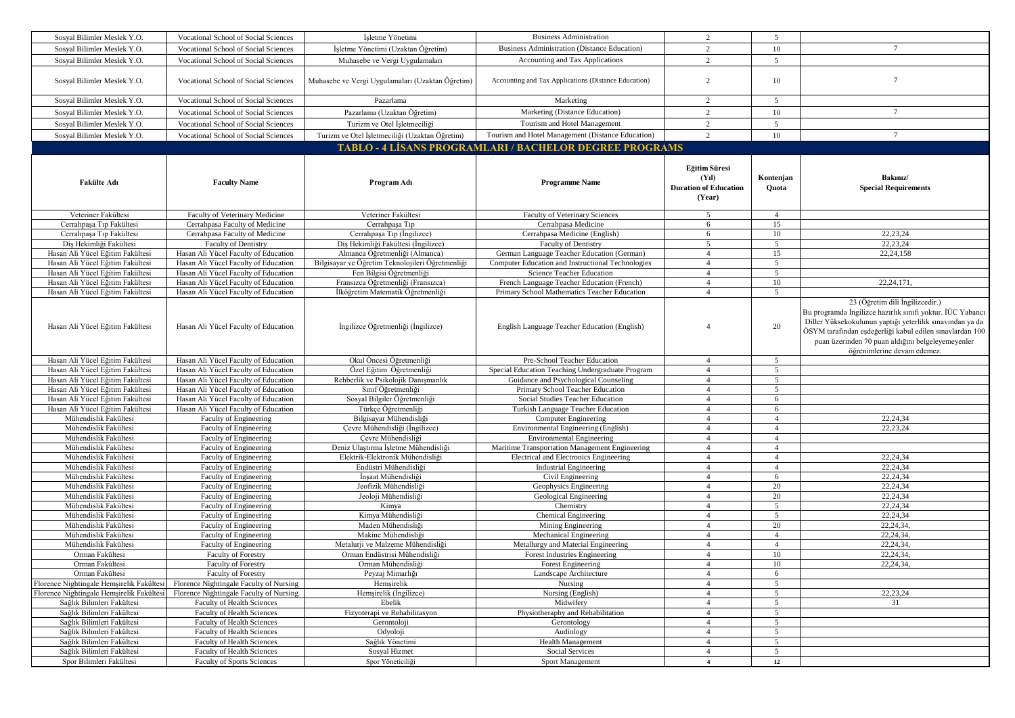| Sosyal Bilimler Meslek Y.O.                                          | Vocational School of Social Sciences                                         | İşletme Yönetimi                                                        | <b>Business Administration</b>                                                             | $\overline{2}$                                                               | 5                                |                                                                                                                                                                                                                                                                                                            |
|----------------------------------------------------------------------|------------------------------------------------------------------------------|-------------------------------------------------------------------------|--------------------------------------------------------------------------------------------|------------------------------------------------------------------------------|----------------------------------|------------------------------------------------------------------------------------------------------------------------------------------------------------------------------------------------------------------------------------------------------------------------------------------------------------|
| Sosyal Bilimler Meslek Y.O.                                          | <b>Vocational School of Social Sciences</b>                                  | İsletme Yönetimi (Uzaktan Öğretim)                                      | <b>Business Administration (Distance Education)</b>                                        | $\overline{c}$                                                               | 10                               | $\overline{7}$                                                                                                                                                                                                                                                                                             |
| Sosyal Bilimler Meslek Y.O.                                          | Vocational School of Social Sciences                                         | Muhasebe ve Vergi Uygulamaları                                          | Accounting and Tax Applications                                                            | $\overline{2}$                                                               | 5                                |                                                                                                                                                                                                                                                                                                            |
| Sosyal Bilimler Meslek Y.O.                                          | Vocational School of Social Sciences                                         | Muhasebe ve Vergi Uygulamaları (Uzaktan Öğretim)                        | Accounting and Tax Applications (Distance Education)                                       | $\overline{2}$                                                               | 10                               | $7\phantom{.0}$                                                                                                                                                                                                                                                                                            |
| Sosyal Bilimler Meslek Y.O.                                          | Vocational School of Social Sciences                                         | Pazarlama                                                               | Marketing                                                                                  | 2                                                                            | 5                                |                                                                                                                                                                                                                                                                                                            |
| Sosyal Bilimler Meslek Y.O.                                          | Vocational School of Social Sciences                                         | Pazarlama (Uzaktan Öğretim)                                             | Marketing (Distance Education)                                                             | $\overline{2}$                                                               | 10                               | $7\phantom{.0}$                                                                                                                                                                                                                                                                                            |
| Sosyal Bilimler Meslek Y.O.                                          | Vocational School of Social Sciences                                         | Turizm ve Otel İşletmeciliği                                            | Tourism and Hotel Management                                                               | 2                                                                            | 5                                |                                                                                                                                                                                                                                                                                                            |
| Sosyal Bilimler Meslek Y.O.                                          | Vocational School of Social Sciences                                         | Turizm ve Otel İşletmeciliği (Uzaktan Öğretim)                          | Tourism and Hotel Management (Distance Education)                                          | 2                                                                            | 10                               | $\overline{7}$                                                                                                                                                                                                                                                                                             |
|                                                                      |                                                                              |                                                                         | <b>TABLO - 4 LÍSANS PROGRAMLARI / BACHELOR DEGREE PROGRAMS</b>                             |                                                                              |                                  |                                                                                                                                                                                                                                                                                                            |
|                                                                      |                                                                              |                                                                         |                                                                                            |                                                                              |                                  |                                                                                                                                                                                                                                                                                                            |
| <b>Fakülte Adı</b>                                                   | <b>Faculty Name</b>                                                          | Program Adı                                                             | <b>Programme Name</b>                                                                      | Eğitim Süresi<br>(Y <sub>1</sub> )<br><b>Duration of Education</b><br>(Year) | Kontenjan<br>Quota               | Bakınız/<br><b>Special Requirements</b>                                                                                                                                                                                                                                                                    |
| Veteriner Fakültesi                                                  | Faculty of Veterinary Medicine                                               | Veteriner Fakültesi                                                     | Faculty of Veterinary Sciences                                                             | 5                                                                            | $\overline{4}$                   |                                                                                                                                                                                                                                                                                                            |
| Cerrahpaşa Tıp Fakültesi                                             | Cerrahpasa Faculty of Medicine                                               | Cerrahpaşa Tıp                                                          | Cerrahpasa Medicine                                                                        | 6                                                                            | 15                               |                                                                                                                                                                                                                                                                                                            |
| Cerrahpaşa Tıp Fakültesi                                             | Cerrahpasa Faculty of Medicine                                               | Cerrahpaşa Tıp (İngilizce)                                              | Cerrahpasa Medicine (English)                                                              | 6                                                                            | 10                               | 22,23,24                                                                                                                                                                                                                                                                                                   |
| Dis Hekimliği Fakültesi                                              | <b>Faculty of Dentistry</b>                                                  | Dis Hekimliği Fakültesi (İngilizce)                                     | <b>Faculty of Dentistry</b>                                                                | 5                                                                            | 5                                | 22,23,24                                                                                                                                                                                                                                                                                                   |
| Hasan Ali Yücel Eğitim Fakültesi                                     | Hasan Ali Yücel Faculty of Education                                         | Almanca Öğretmenliği (Almanca)                                          | German Language Teacher Education (German)                                                 | $\overline{4}$                                                               | 15                               | 22, 24, 158                                                                                                                                                                                                                                                                                                |
| Hasan Ali Yücel Eğitim Fakültesi                                     | Hasan Ali Yücel Faculty of Education                                         | Bilgisayar ve Öğretim Teknolojileri Öğretmenliği                        | Computer Education and Instructional Technologies                                          | $\overline{4}$                                                               | 5                                |                                                                                                                                                                                                                                                                                                            |
| Hasan Ali Yücel Eğitim Fakültesi                                     | Hasan Ali Yücel Faculty of Education                                         | Fen Bilgisi Öğretmenliği                                                | Science Teacher Education                                                                  | $\overline{4}$                                                               | 5                                |                                                                                                                                                                                                                                                                                                            |
| Hasan Ali Yücel Eğitim Fakültesi<br>Hasan Ali Yücel Eğitim Fakültesi | Hasan Ali Yücel Faculty of Education<br>Hasan Ali Yücel Faculty of Education | Fransızca Öğretmenliği (Fransızca)<br>İlköğretim Matematik Öğretmenliği | French Language Teacher Education (French)<br>Primary School Mathematics Teacher Education | $\overline{4}$<br>$\overline{4}$                                             | 10<br>5                          | 22,24,171                                                                                                                                                                                                                                                                                                  |
| Hasan Ali Yücel Eğitim Fakültesi                                     | Hasan Ali Yücel Faculty of Education                                         | İngilizce Öğretmenliği (İngilizce)                                      | English Language Teacher Education (English)                                               | $\overline{4}$                                                               | 20                               | 23 (Öğretim dili İngilizcedir.)<br>Bu programda İngilizce hazırlık sınıfı yoktur. İÜC Yabancı<br>Diller Yüksekokulunun yaptığı yeterlilik sınavından ya da<br>ÖSYM tarafından eşdeğerliği kabul edilen sınavlardan 100<br>puan üzerinden 70 puan aldığını belgeleyemeyenler<br>öğrenimlerine devam edemez. |
| Hasan Ali Yücel Eğitim Fakültesi                                     | Hasan Ali Yücel Faculty of Education                                         | Okul Öncesi Öğretmenliği                                                | Pre-School Teacher Education                                                               | $\overline{4}$                                                               | 5                                |                                                                                                                                                                                                                                                                                                            |
| Hasan Ali Yücel Eğitim Fakültesi                                     | Hasan Ali Yücel Faculty of Education                                         | Özel Eğitim Öğretmenliği                                                | Special Education Teaching Undergraduate Program                                           | $\overline{4}$                                                               | 5                                |                                                                                                                                                                                                                                                                                                            |
| Hasan Ali Yücel Eğitim Fakültesi                                     | Hasan Ali Yücel Faculty of Education                                         | Rehberlik ve Psikolojik Danışmanlık                                     | Guidance and Psychological Counseling                                                      | $\overline{4}$                                                               | 5                                |                                                                                                                                                                                                                                                                                                            |
| Hasan Ali Yücel Eğitim Fakültesi                                     | Hasan Ali Yücel Faculty of Education                                         | Sınıf Öğretmenliği                                                      | Primary School Teacher Education                                                           | $\overline{4}$                                                               | 5                                |                                                                                                                                                                                                                                                                                                            |
| Hasan Ali Yücel Eğitim Fakültesi                                     | Hasan Ali Yücel Faculty of Education                                         | Sosyal Bilgiler Öğretmenliği                                            | Social Studies Teacher Education                                                           | $\overline{4}$                                                               | 6                                |                                                                                                                                                                                                                                                                                                            |
| Hasan Ali Yücel Eğitim Fakültesi                                     | Hasan Ali Yücel Faculty of Education                                         | Türkçe Öğretmenliği                                                     | Turkish Language Teacher Education                                                         | $\overline{4}$                                                               | 6                                |                                                                                                                                                                                                                                                                                                            |
| Mühendislik Fakültesi                                                | Faculty of Engineering                                                       | Bilgisayar Mühendisliği                                                 | Computer Engineering                                                                       | $\overline{4}$                                                               | $\overline{4}$                   | 22,24,34                                                                                                                                                                                                                                                                                                   |
| Mühendislik Fakültesi                                                | Faculty of Engineering                                                       | Çevre Mühendisliği (İngilizce)<br>Cevre Mühendisliği                    | Environmental Engineering (English)                                                        | $\overline{4}$                                                               | $\overline{4}$                   | 22,23,24                                                                                                                                                                                                                                                                                                   |
| Mühendislik Fakültesi<br>Mühendislik Fakültesi                       | Faculty of Engineering<br><b>Faculty of Engineering</b>                      | Deniz Ulaştırma İşletme Mühendisliği                                    | <b>Environmental Engineering</b><br>Maritime Transportation Management Engineering         | $\overline{4}$<br>$\overline{4}$                                             | $\overline{4}$<br>$\overline{4}$ |                                                                                                                                                                                                                                                                                                            |
| Mühendislik Fakültesi                                                | Faculty of Engineering                                                       | Elektrik-Elektronik Mühendisliği                                        | Electrical and Electronics Engineering                                                     | $\overline{4}$                                                               | $\overline{4}$                   | 22,24,34                                                                                                                                                                                                                                                                                                   |
| Mühendislik Fakültesi                                                | Faculty of Engineering                                                       | Endüstri Mühendisliği                                                   | <b>Industrial Engineering</b>                                                              | $\overline{4}$                                                               | $\overline{4}$                   | 22,24,34                                                                                                                                                                                                                                                                                                   |
| Mühendislik Fakültesi                                                | Faculty of Engineering                                                       | İnşaat Mühendisliği                                                     | Civil Engineering                                                                          | $\overline{4}$                                                               | 6                                | 22,24,34                                                                                                                                                                                                                                                                                                   |
| Mühendislik Fakültesi                                                | Faculty of Engineering                                                       | Jeofizik Mühendisliği                                                   | Geophysics Engineering                                                                     | $\overline{4}$                                                               | 20                               | 22,24,34                                                                                                                                                                                                                                                                                                   |
| Mühendislik Fakültesi                                                | Faculty of Engineering                                                       | Jeoloji Mühendisliği                                                    | Geological Engineering                                                                     | $\overline{4}$                                                               | 20                               | 22,24,34                                                                                                                                                                                                                                                                                                   |
| Mühendislik Fakültesi                                                | Faculty of Engineering                                                       | Kimya                                                                   | Chemistry                                                                                  | $\overline{4}$                                                               | 5                                | 22,24,34                                                                                                                                                                                                                                                                                                   |
| Mühendislik Fakültesi                                                | Faculty of Engineering                                                       | Kimya Mühendisliği                                                      | Chemical Engineering                                                                       | $\overline{4}$                                                               | 5                                | 22,24,34                                                                                                                                                                                                                                                                                                   |
| Mühendislik Fakültesi                                                | <b>Faculty of Engineering</b>                                                | Maden Mühendisliği                                                      | Mining Engineering                                                                         | $\overline{4}$                                                               | 20                               | 22,24,34,                                                                                                                                                                                                                                                                                                  |
| Mühendislik Fakültesi                                                | <b>Faculty of Engineering</b>                                                | Makine Mühendisliği                                                     | Mechanical Engineering                                                                     | $\overline{4}$                                                               | $\overline{4}$                   | 22,24,34,                                                                                                                                                                                                                                                                                                  |
| Mühendislik Fakültesi                                                | Faculty of Engineering                                                       | Metalurji ve Malzeme Mühendisliği                                       | Metallurgy and Material Engineering                                                        | $\overline{4}$                                                               | $\overline{4}$                   | 22, 24, 34,                                                                                                                                                                                                                                                                                                |
| Orman Fakültesi                                                      | <b>Faculty of Forestry</b>                                                   | Orman Endüstrisi Mühendisliği                                           | Forest Industries Engineering                                                              | $\overline{4}$                                                               | 10                               | 22,24,34,                                                                                                                                                                                                                                                                                                  |
| Orman Fakültesi                                                      | <b>Faculty of Forestry</b>                                                   | Orman Mühendisliği                                                      | Forest Engineering                                                                         | $\overline{4}$                                                               | 10                               | 22, 24, 34,                                                                                                                                                                                                                                                                                                |
| Orman Fakultesi                                                      | <b>Faculty of Forestry</b>                                                   | Peyzaj Mimarligi                                                        | Landscape Architecture                                                                     | 4                                                                            | $\sigma$                         |                                                                                                                                                                                                                                                                                                            |
| Florence Nightingale Hemşirelik Fakültesi                            | Florence Nightingale Faculty of Nursing                                      | Hemsirelik                                                              | Nursing                                                                                    | $\overline{4}$                                                               | 5                                |                                                                                                                                                                                                                                                                                                            |
| Florence Nightingale Hemsirelik Fakültes                             | Florence Nightingale Faculty of Nursing                                      | Hemsirelik (Ingilizce)                                                  | Nursing (English)                                                                          | $\overline{4}$                                                               | 5                                | 22,23,24                                                                                                                                                                                                                                                                                                   |
| Sağlık Bilimleri Fakültesi                                           | Faculty of Health Sciences                                                   | Ebelik                                                                  | Midwifery                                                                                  | $\overline{4}$                                                               | 5                                | 31                                                                                                                                                                                                                                                                                                         |
| Sağlık Bilimleri Fakültesi                                           | Faculty of Health Sciences                                                   | Fizyoterapi ve Rehabilitasyon                                           | Physiotheraphy and Rehabilitation                                                          | $\overline{4}$                                                               | 5                                |                                                                                                                                                                                                                                                                                                            |
| Sağlık Bilimleri Fakültesi                                           | Faculty of Health Sciences                                                   | Gerontoloji                                                             | Gerontology                                                                                | $\overline{4}$                                                               | 5                                |                                                                                                                                                                                                                                                                                                            |
| Sağlık Bilimleri Fakültesi                                           | Faculty of Health Sciences                                                   | Odyoloji                                                                | Audiology                                                                                  | 4                                                                            | 5                                |                                                                                                                                                                                                                                                                                                            |
| Sağlık Bilimleri Fakültesi                                           | Faculty of Health Sciences                                                   | Sağlık Yönetimi                                                         | Health Management                                                                          | $\overline{4}$                                                               | 5                                |                                                                                                                                                                                                                                                                                                            |
| Sağlık Bilimleri Fakültesi                                           | <b>Faculty of Health Sciences</b>                                            | Sosyal Hizmet                                                           | Social Services                                                                            | $\overline{4}$                                                               | 5                                |                                                                                                                                                                                                                                                                                                            |
| Spor Bilimleri Fakültesi                                             | <b>Faculty of Sports Sciences</b>                                            | Spor Yöneticiliği                                                       | Sport Management                                                                           | $\overline{4}$                                                               | 12                               |                                                                                                                                                                                                                                                                                                            |